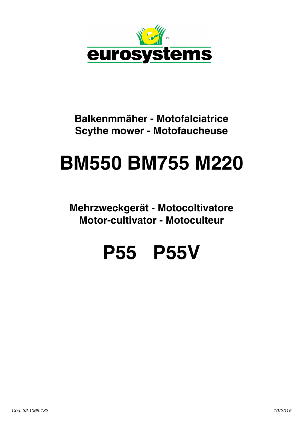

## **Balkenmmäher - Motofalciatrice Scythe mower - Motofaucheuse**

## **BM550 BM755 M220**

**Mehrzweckgerät - Motocoltivatore Motor-cultivator - Motoculteur**

## **P55 P55V**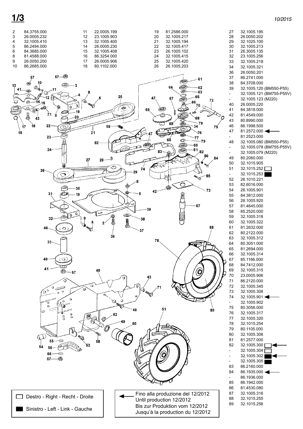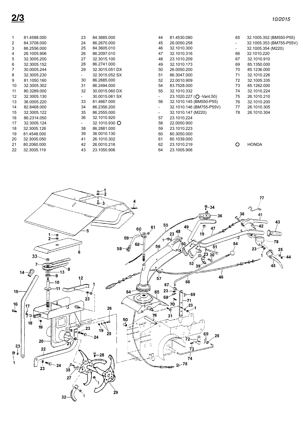| $\mathbf{1}$   | 81.4588.000 | 23                       | 84.3685.000    | 44                       | 81.4530.080              | 65    | 32.1005.352 (BM550-P55)  |
|----------------|-------------|--------------------------|----------------|--------------------------|--------------------------|-------|--------------------------|
| $\overline{2}$ | 84.3708.000 | 24                       | 86.2670.000    | 45                       | 26.0050.258              |       | 32.1005.353 (BM755-P55V) |
| 3              | 86.2556.000 | 25                       | 84.3605.010    | 46                       | 32.1010.300              | $ \,$ | 32.1005.354 (M220)       |
| 4              | 26.1005.906 | 26                       | 86.2097.010    | 47                       | 32.1010.316              | 66    | 32.1010.220              |
| 5              | 32.3005.200 | 27                       | 32.3015.100    | 48                       | 23.1010.209              | 67    | 32.1010.910              |
| 6              | 32.3005.152 | 28                       | 86.2741.000    | 49                       | 32.1010.173              | 69    | 85.1350.000              |
| $\overline{7}$ | 30.0005.244 | 29                       | 32.3015.051 DX | 50                       | 26.0050.200              | 70    | 85.1236.000              |
| 8              | 32.3005.230 | $\overline{\phantom{a}}$ | 32.3015.052 SX | 51                       | 86.3047.000              | 71    | 32.1010.226              |
| 9              | 81.1050.160 | 30                       | 86.2685.000    | 52                       | 22.0010.909              | 72    | 32.1005.335              |
| 10             | 32.3005.302 | 31                       | 86.2494.000    | 54                       | 83.7528.000              | 73    | 85.1262.000              |
| 11             | 80.3289.000 | 32                       | 30.0015.060 DX | 55                       | 32.1010.332              | 74    | 32.1010.224              |
| 12             | 32.3005.130 | $\overline{\phantom{0}}$ | 30.0015.061 SX | $\overline{\phantom{a}}$ | 23.1020.227 (Q -Vant.50) | 75    | 26.1010.210              |
| 13             | 36.0005.220 | 33                       | 81.4667.000    | 56                       | 32.1010.145 (BM550-P55)  | 76    | 32.1010.200              |
| 14             | 82.8468.000 | 34                       | 86.2356.200    | $\overline{\phantom{a}}$ | 32.1010.146 (BM755-P55V) | 77    | 26.1010.305              |
| 15             | 32.3005.122 | 35                       | 86.2555.000    | $\overline{\phantom{a}}$ | 32.1010.147 (M220)       | 78    | 26.1010.304              |
| 16             | 86.2314.050 | 36                       | 32.1010.920    | 57                       | 23.1010.224              |       |                          |
| 17             | 32.3005.124 | $\overline{\phantom{0}}$ | 32.1010.930 O  | 58                       | 22.0050.900              |       |                          |
| 18             | 32.3005.126 | 38                       | 86.2881.000    | 59                       | 23.1010.223              |       |                          |
| 19             | 81.4548.000 | 39                       | 36.0010.130    | 60                       | 80.3050.000              |       |                          |
| 20             | 32.3005.050 | 41                       | 26.1010.302    | 61                       | 80.1039.000              |       |                          |
| 21             | 80.2060.000 | 42                       | 26.0010.216    | 62                       | 23.1010.219              | O     | <b>HONDA</b>             |
| 22             | 32.3005.119 | 43                       | 23.1050.906    | 64                       | 23.1005.906              |       |                          |
|                |             |                          |                |                          |                          |       |                          |